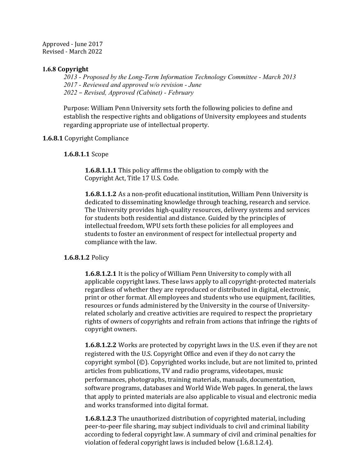Approved - June 2017 Revised - March 2022

### **1.6.8 Copyright**

*2013 - Proposed by the Long-Term Information Technology Committee - March 2013 2017 - Reviewed and approved w/o revision - June 2022 – Revised, Approved (Cabinet) - February*

Purpose: William Penn University sets forth the following policies to define and establish the respective rights and obligations of University employees and students regarding appropriate use of intellectual property.

# **1.6.8.1** Copyright Compliance

# **1.6.8.1.1** Scope

**1.6.8.1.1.1** This policy affirms the obligation to comply with the Copyright Act, Title 17 U.S. Code.

**1.6.8.1.1.2** As a non-profit educational institution, William Penn University is dedicated to disseminating knowledge through teaching, research and service. The University provides high-quality resources, delivery systems and services for students both residential and distance. Guided by the principles of intellectual freedom, WPU sets forth these policies for all employees and students to foster an environment of respect for intellectual property and compliance with the law.

# **1.6.8.1.2** Policy

**1.6.8.1.2.1** It is the policy of William Penn University to comply with all applicable copyright laws. These laws apply to all copyright-protected materials regardless of whether they are reproduced or distributed in digital, electronic, print or other format. All employees and students who use equipment, facilities, resources or funds administered by the University in the course of Universityrelated scholarly and creative activities are required to respect the proprietary rights of owners of copyrights and refrain from actions that infringe the rights of copyright owners.

**1.6.8.1.2.2** Works are protected by copyright laws in the U.S. even if they are not registered with the U.S. Copyright Office and even if they do not carry the copyright symbol (©). Copyrighted works include, but are not limited to, printed articles from publications, TV and radio programs, videotapes, music performances, photographs, training materials, manuals, documentation, software programs, databases and World Wide Web pages. In general, the laws that apply to printed materials are also applicable to visual and electronic media and works transformed into digital format.

**1.6.8.1.2.3** The unauthorized distribution of copyrighted material, including peer-to-peer file sharing, may subject individuals to civil and criminal liability according to federal copyright law. A summary of civil and criminal penalties for violation of federal copyright laws is included below (1.6.8.1.2.4).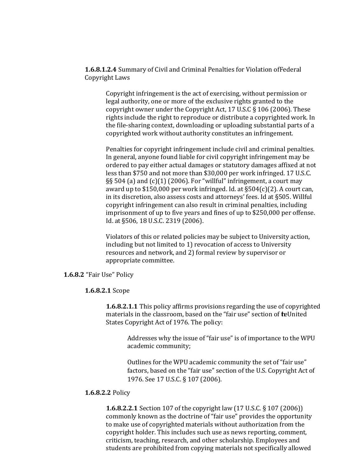**1.6.8.1.2.4** Summary of Civil and Criminal Penalties for Violation ofFederal Copyright Laws

Copyright infringement is the act of exercising, without permission or legal authority, one or more of the exclusive rights granted to the copyright owner under the Copyright Act, 17 U.S.C § 106 (2006). These rights include the right to reproduce or distribute a copyrighted work. In the file-sharing context, downloading or uploading substantial parts of a copyrighted work without authority constitutes an infringement.

Penalties for copyright infringement include civil and criminal penalties. In general, anyone found liable for civil copyright infringement may be ordered to pay either actual damages or statutory damages affixed at not less than \$750 and not more than \$30,000 per work infringed. 17 U.S.C.  $\S$ § 504 (a) and (c)(1) (2006). For "willful" infringement, a court may award up to \$150,000 per work infringed. Id. at §504(c)(2). A court can, in its discretion, also assess costs and attorneys' fees. Id at §505. Willful copyright infringement can also result in criminal penalties, including imprisonment of up to five years and fines of up to \$250,000 per offense. Id. at §506, 18 U.S.C. 2319 (2006).

Violators of this or related policies may be subject to University action, including but not limited to 1) revocation of access to University resources and network, and 2) formal review by supervisor or appropriate committee.

**1.6.8.2** "Fair Use" Policy

#### **1.6.8.2.1** Scope

**1.6.8.2.1.1** This policy affirms provisions regarding the use of copyrighted materials in the classroom, based on the "fair use" section of teUnited States Copyright Act of 1976. The policy:

Addresses why the issue of "fair use" is of importance to the WPU academic community;

Outlines for the WPU academic community the set of "fair use" factors, based on the "fair use" section of the U.S. Copyright Act of 1976. See 17 U.S.C. § 107 (2006).

### **1.6.8.2.2** Policy

**1.6.8.2.2.1** Section 107 of the copyright law (17 U.S.C. § 107 (2006)) commonly known as the doctrine of "fair use" provides the opportunity to make use of copyrighted materials without authorization from the copyright holder. This includes such use as news reporting, comment, criticism, teaching, research, and other scholarship. Employees and students are prohibited from copying materials not specifically allowed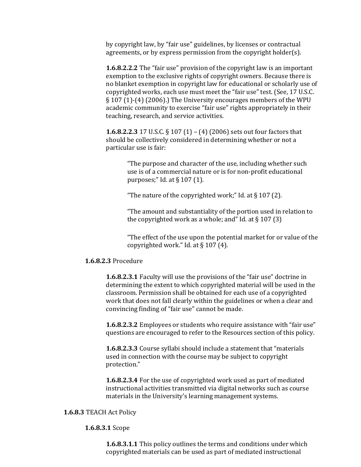by copyright law, by "fair use" guidelines, by licenses or contractual agreements, or by express permission from the copyright holder(s).

**1.6.8.2.2.2** The "fair use" provision of the copyright law is an important exemption to the exclusive rights of copyright owners. Because there is no blanket exemption in copyright law for educational or scholarly use of copyrighted works, each use must meet the "fair use" test. (See, 17 U.S.C. § 107 (1)-(4) (2006).) The University encourages members of the WPU academic community to exercise "fair use" rights appropriately in their teaching, research, and service activities.

**1.6.8.2.2.3** 17 U.S.C. § 107 (1) – (4) (2006) sets out four factors that should be collectively considered in determining whether or not a particular use is fair:

> "The purpose and character of the use, including whether such use is of a commercial nature or is for non-profit educational purposes;" Id. at § 107 (1).

"The nature of the copyrighted work;" Id. at  $\S 107$  (2).

"The amount and substantiality of the portion used in relation to the copyrighted work as a whole; and" Id. at  $\S 107(3)$ 

"The effect of the use upon the potential market for or value of the copyrighted work." Id. at § 107 (4).

#### **1.6.8.2.3** Procedure

**1.6.8.2.3.1** Faculty will use the provisions of the "fair use" doctrine in determining the extent to which copyrighted material will be used in the classroom. Permission shall be obtained for each use of a copyrighted work that does not fall clearly within the guidelines or when a clear and convincing finding of "fair use" cannot be made.

**1.6.8.2.3.2** Employees or students who require assistance with "fair use" questions are encouraged to refer to the Resources section of this policy.

**1.6.8.2.3.3** Course syllabi should include a statement that "materials used in connection with the course may be subject to copyright protection."

**1.6.8.2.3.4** For the use of copyrighted work used as part of mediated instructional activities transmitted via digital networks such as course materials in the University's learning management systems.

### **1.6.8.3** TEACH Act Policy

### **1.6.8.3.1** Scope

**1.6.8.3.1.1** This policy outlines the terms and conditions under which copyrighted materials can be used as part of mediated instructional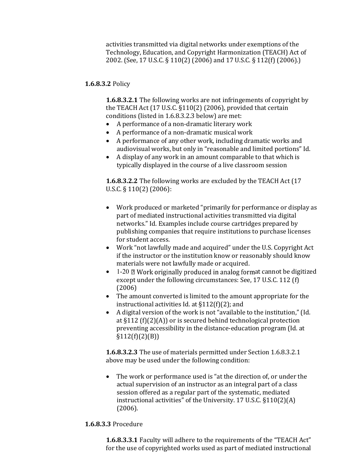activities transmitted via digital networks under exemptions of the Technology, Education, and Copyright Harmonization (TEACH) Act of 2002. (See, 17 U.S.C. § 110(2) (2006) and 17 U.S.C. § 112(f) (2006).)

# **1.6.8.3.2** Policy

**1.6.8.3.2.1** The following works are not infringements of copyright by the TEACH Act (17 U.S.C. §110(2) (2006), provided that certain conditions (listed in 1.6.8.3.2.3 below) are met:

- A performance of a non-dramatic literary work
- A performance of a non-dramatic musical work
- A performance of any other work, including dramatic works and audiovisual works, but only in "reasonable and limited portions" Id.
- A display of any work in an amount comparable to that which is typically displayed in the course of a live classroom session

**1.6.8.3.2.2** The following works are excluded by the TEACH Act (17 U.S.C. § 110(2) (2006):

- Work produced or marketed "primarily for performance or display as part of mediated instructional activities transmitted via digital networks." Id. Examples include course cartridges prepared by publishing companies that require institutions to purchase licenses for student access.
- Work "not lawfully made and acquired" under the U.S. Copyright Act if the instructor or the institution know or reasonably should know materials were not lawfully made or acquired.
- $1-20$   $\mathbb{Z}$  Work originally produced in analog format cannot be digitized except under the following circumstances: See, 17 U.S.C. 112 (f) (2006)
- The amount converted is limited to the amount appropriate for the instructional activities Id. at  $\S112(f)(2)$ ; and
- A digital version of the work is not "available to the institution," (Id. at §112 (f)(2)(A)) or is secured behind technological protection preventing accessibility in the distance-education program (Id. at  $$112(f)(2)(B)]$

**1.6.8.3.2.3** The use of materials permitted under Section 1.6.8.3.2.1 above may be used under the following condition:

• The work or performance used is "at the direction of, or under the actual supervision of an instructor as an integral part of a class session offered as a regular part of the systematic, mediated instructional activities" of the University. 17 U.S.C. §110(2)(A) (2006).

#### **1.6.8.3.3** Procedure

**1.6.8.3.3.1** Faculty will adhere to the requirements of the "TEACH Act" for the use of copyrighted works used as part of mediated instructional